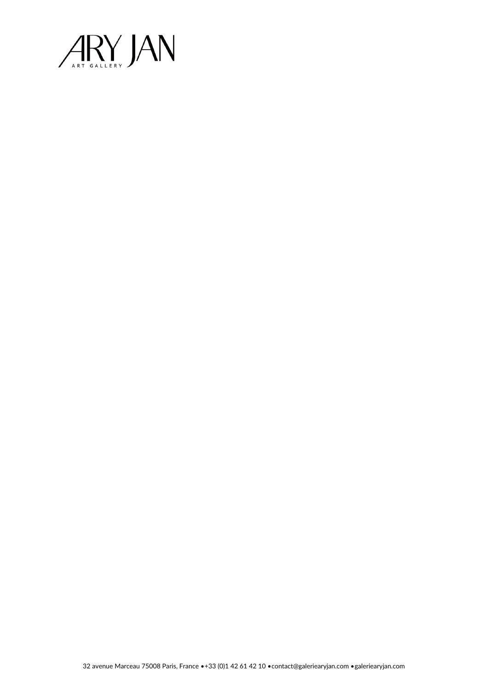